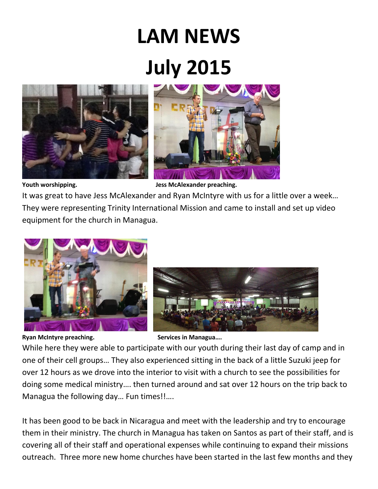## **LAM NEWS July 2015**





**Youth worshipping. Jess McAlexander preaching.**

It was great to have Jess McAlexander and Ryan McIntyre with us for a little over a week… They were representing Trinity International Mission and came to install and set up video equipment for the church in Managua.



**Ryan McIntyre preaching.** Services in Managua...

While here they were able to participate with our youth during their last day of camp and in one of their cell groups… They also experienced sitting in the back of a little Suzuki jeep for over 12 hours as we drove into the interior to visit with a church to see the possibilities for doing some medical ministry…. then turned around and sat over 12 hours on the trip back to Managua the following day… Fun times!!….

It has been good to be back in Nicaragua and meet with the leadership and try to encourage them in their ministry. The church in Managua has taken on Santos as part of their staff, and is covering all of their staff and operational expenses while continuing to expand their missions outreach. Three more new home churches have been started in the last few months and they